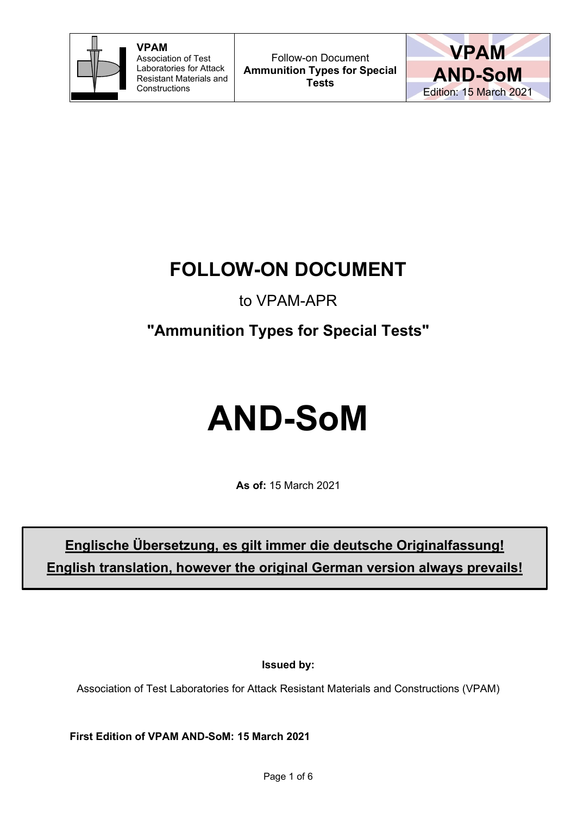



## **FOLLOW-ON DOCUMENT**

### to VPAM-APR

## **"Ammunition Types for Special Tests"**

# **AND-SoM**

**As of:** 15 March 2021

## **Englische Übersetzung, es gilt immer die deutsche Originalfassung! English translation, however the original German version always prevails!**

**Issued by:**

Association of Test Laboratories for Attack Resistant Materials and Constructions (VPAM)

**First Edition of VPAM AND-SoM: 15 March 2021**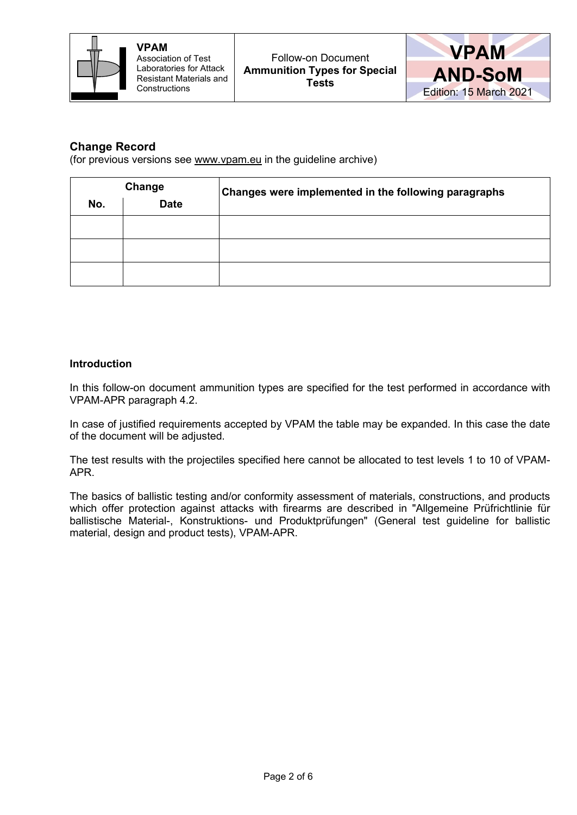



#### **Change Record**

(for previous versions see www.vpam.eu in the guideline archive)

| Change |             | Changes were implemented in the following paragraphs |  |
|--------|-------------|------------------------------------------------------|--|
| No.    | <b>Date</b> |                                                      |  |
|        |             |                                                      |  |
|        |             |                                                      |  |
|        |             |                                                      |  |

#### **Introduction**

In this follow-on document ammunition types are specified for the test performed in accordance with VPAM-APR paragraph 4.2.

In case of justified requirements accepted by VPAM the table may be expanded. In this case the date of the document will be adjusted.

The test results with the projectiles specified here cannot be allocated to test levels 1 to 10 of VPAM-APR.

The basics of ballistic testing and/or conformity assessment of materials, constructions, and products which offer protection against attacks with firearms are described in "Allgemeine Prüfrichtlinie für ballistische Material-, Konstruktions- und Produktprüfungen" (General test guideline for ballistic material, design and product tests), VPAM-APR.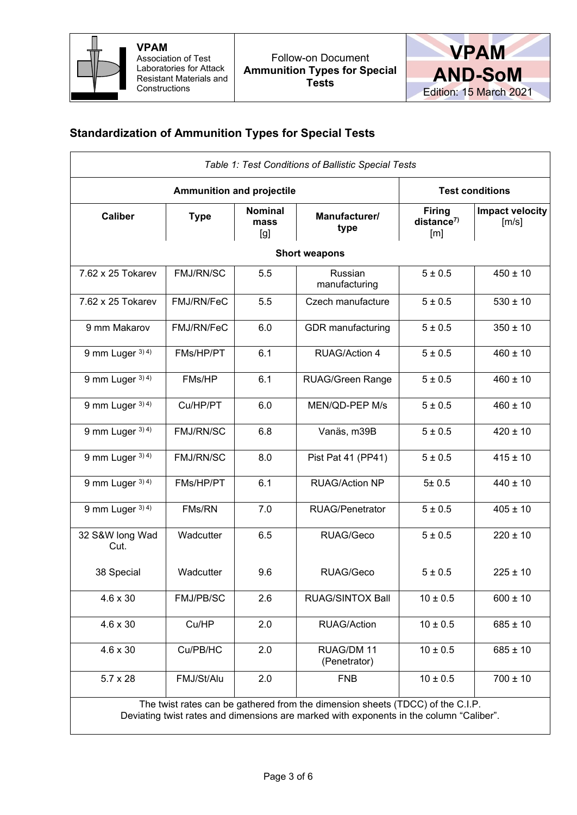



#### **Standardization of Ammunition Types for Special Tests**

|                               | <b>Test conditions</b> |                               |                            |                                      |                                          |
|-------------------------------|------------------------|-------------------------------|----------------------------|--------------------------------------|------------------------------------------|
| <b>Caliber</b><br><b>Type</b> |                        | <b>Nominal</b><br>mass<br>[g] | Manufacturer/<br>type      | <b>Firing</b><br>distance $7$<br>[m] | Impact velocity<br>$\lfloor m/s \rfloor$ |
|                               |                        |                               | <b>Short weapons</b>       |                                      |                                          |
| 7.62 x 25 Tokarev             | FMJ/RN/SC              | 5.5                           | Russian<br>manufacturing   | 5 ± 0.5                              | $450 \pm 10$                             |
| 7.62 x 25 Tokarev             | FMJ/RN/FeC             | 5.5                           | Czech manufacture          | 5 ± 0.5                              | $530 \pm 10$                             |
| 9 mm Makarov                  | FMJ/RN/FeC             | 6.0                           | <b>GDR</b> manufacturing   | 5 ± 0.5                              | $350 \pm 10$                             |
| 9 mm Luger $3)$ 4)            | FMs/HP/PT              | 6.1                           | <b>RUAG/Action 4</b>       | 5 ± 0.5                              | $460 \pm 10$                             |
| 9 mm Luger 3) 4)              | FMs/HP                 | 6.1                           | <b>RUAG/Green Range</b>    | 5 ± 0.5                              | $460 \pm 10$                             |
| 9 mm Luger $3)$ 4)            | Cu/HP/PT               | 6.0                           | MEN/QD-PEP M/s             | 5 ± 0.5                              | $460 \pm 10$                             |
| 9 mm Luger $3)$ 4)            | FMJ/RN/SC              | 6.8                           | Vanäs, m39B                | 5 ± 0.5                              | $420 \pm 10$                             |
| 9 mm Luger 3) 4)              | <b>FMJ/RN/SC</b>       | 8.0                           | Pist Pat 41 (PP41)         | 5 ± 0.5                              | $415 \pm 10$                             |
| 9 mm Luger $3)$ 4)            | FMs/HP/PT              | 6.1                           | <b>RUAG/Action NP</b>      | 5±0.5                                | $440 \pm 10$                             |
| 9 mm Luger 3) 4)              | FMs/RN                 | 7.0                           | <b>RUAG/Penetrator</b>     | 5 ± 0.5                              | $405 \pm 10$                             |
| 32 S&W long Wad<br>Cut.       | Wadcutter              | 6.5                           | RUAG/Geco                  | 5 ± 0.5                              | $220 \pm 10$                             |
| 38 Special                    | Wadcutter              | 9.6                           | RUAG/Geco                  | 5 ± 0.5                              | $225 \pm 10$                             |
| $4.6 \times 30$               | FMJ/PB/SC              | 2.6                           | <b>RUAG/SINTOX Ball</b>    | $10 \pm 0.5$                         | $600 \pm 10$                             |
| $4.6 \times 30$               | Cu/HP                  | 2.0                           | <b>RUAG/Action</b>         | $10 \pm 0.5$                         | $685 \pm 10$                             |
| $4.6 \times 30$               | Cu/PB/HC               | 2.0                           | RUAG/DM 11<br>(Penetrator) | $10 \pm 0.5$                         | $685 \pm 10$                             |
| $5.7 \times 28$               | FMJ/St/Alu             | 2.0                           | <b>FNB</b>                 | $10 \pm 0.5$                         | $700 \pm 10$                             |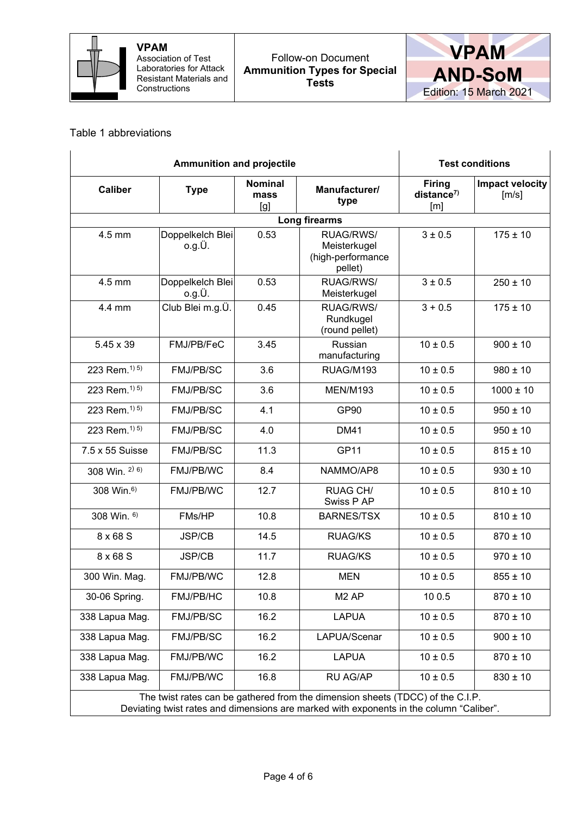



#### Table 1 abbreviations

|                                                                                                                                                                           | <b>Ammunition and projectile</b> | <b>Test conditions</b>        |                                                           |                                               |                          |  |  |
|---------------------------------------------------------------------------------------------------------------------------------------------------------------------------|----------------------------------|-------------------------------|-----------------------------------------------------------|-----------------------------------------------|--------------------------|--|--|
| <b>Caliber</b><br><b>Type</b>                                                                                                                                             |                                  | <b>Nominal</b><br>mass<br>[g] | Manufacturer/<br>type                                     | <b>Firing</b><br>distance <sup>7</sup><br>[m] | Impact velocity<br>[m/s] |  |  |
|                                                                                                                                                                           | Long firearms                    |                               |                                                           |                                               |                          |  |  |
| 4.5 mm                                                                                                                                                                    | Doppelkelch Blei<br>o.g.U.       | 0.53                          | RUAG/RWS/<br>Meisterkugel<br>(high-performance<br>pellet) | 3 ± 0.5                                       | $175 \pm 10$             |  |  |
| 4.5 mm                                                                                                                                                                    | Doppelkelch Blei<br>o.g.U.       | 0.53                          | RUAG/RWS/<br>Meisterkugel                                 | 3 ± 0.5                                       | $250 \pm 10$             |  |  |
| 4.4 mm                                                                                                                                                                    | Club Blei m.g.Ü.                 | 0.45                          | RUAG/RWS/<br>Rundkugel<br>(round pellet)                  | $3 + 0.5$                                     | $175 \pm 10$             |  |  |
| 5.45 x 39                                                                                                                                                                 | FMJ/PB/FeC                       | 3.45                          | Russian<br>manufacturing                                  | $10 \pm 0.5$                                  | $900 \pm 10$             |  |  |
| 223 Rem. <sup>1) 5)</sup>                                                                                                                                                 | <b>FMJ/PB/SC</b>                 | 3.6                           | RUAG/M193                                                 | $10 \pm 0.5$                                  | $980 \pm 10$             |  |  |
| 223 Rem. <sup>1) 5)</sup>                                                                                                                                                 | <b>FMJ/PB/SC</b>                 | 3.6                           | <b>MEN/M193</b>                                           | $10 \pm 0.5$                                  | $1000 \pm 10$            |  |  |
| 223 Rem. <sup>1) 5)</sup>                                                                                                                                                 | FMJ/PB/SC                        | 4.1                           | GP90                                                      | $10 \pm 0.5$                                  | $950 \pm 10$             |  |  |
| 223 Rem. <sup>1) 5)</sup>                                                                                                                                                 | FMJ/PB/SC                        | 4.0                           | <b>DM41</b>                                               | $10 \pm 0.5$                                  | $950 \pm 10$             |  |  |
| 7.5 x 55 Suisse                                                                                                                                                           | FMJ/PB/SC                        | 11.3                          | <b>GP11</b>                                               | $10 \pm 0.5$                                  | $815 \pm 10$             |  |  |
| 308 Win. 2) 6)                                                                                                                                                            | FMJ/PB/WC                        | 8.4                           | NAMMO/AP8                                                 | $10 \pm 0.5$                                  | $930 \pm 10$             |  |  |
| 308 Win. <sup>6)</sup>                                                                                                                                                    | FMJ/PB/WC                        | 12.7                          | <b>RUAG CH/</b><br>Swiss P AP                             | $10 \pm 0.5$                                  | $810 \pm 10$             |  |  |
| 308 Win. 6)                                                                                                                                                               | FMs/HP                           | 10.8                          | <b>BARNES/TSX</b>                                         | $10 \pm 0.5$                                  | $810 \pm 10$             |  |  |
| 8 x 68 S                                                                                                                                                                  | <b>JSP/CB</b>                    | 14.5                          | <b>RUAG/KS</b>                                            | $10 \pm 0.5$                                  | $870 \pm 10$             |  |  |
| 8 x 68 S                                                                                                                                                                  | <b>JSP/CB</b>                    | 11.7                          | <b>RUAG/KS</b>                                            | $10 \pm 0.5$                                  | $970 \pm 10$             |  |  |
| 300 Win. Mag.                                                                                                                                                             | FMJ/PB/WC                        | 12.8                          | <b>MEN</b>                                                | $10 \pm 0.5$                                  | $855 \pm 10$             |  |  |
| 30-06 Spring.                                                                                                                                                             | FMJ/PB/HC                        | 10.8                          | M <sub>2</sub> AP                                         | 100.5                                         | $870 \pm 10$             |  |  |
| 338 Lapua Mag.                                                                                                                                                            | FMJ/PB/SC                        | 16.2                          | <b>LAPUA</b>                                              | $10 \pm 0.5$                                  | $870 \pm 10$             |  |  |
| 338 Lapua Mag.                                                                                                                                                            | FMJ/PB/SC                        | 16.2                          | LAPUA/Scenar                                              | $10 \pm 0.5$                                  | $900 \pm 10$             |  |  |
| 338 Lapua Mag.                                                                                                                                                            | FMJ/PB/WC                        | 16.2                          | <b>LAPUA</b>                                              | $10 \pm 0.5$                                  | $870 \pm 10$             |  |  |
| 338 Lapua Mag.                                                                                                                                                            | FMJ/PB/WC                        | 16.8                          | RU AG/AP                                                  | $10 \pm 0.5$                                  | $830 \pm 10$             |  |  |
| The twist rates can be gathered from the dimension sheets (TDCC) of the C.I.P.<br>Deviating twist rates and dimensions are marked with exponents in the column "Caliber". |                                  |                               |                                                           |                                               |                          |  |  |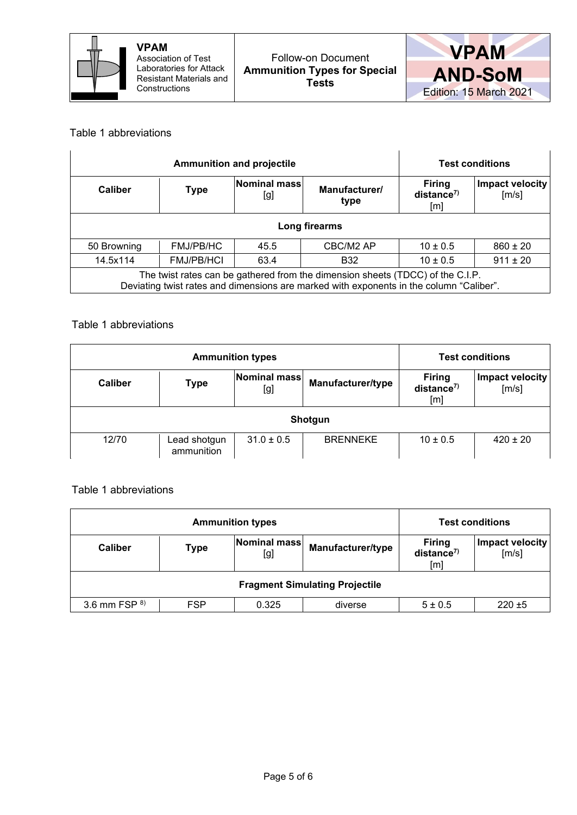



#### Table 1 abbreviations

|                                                                                                                                                                           | <b>Ammunition and projectile</b> | <b>Test conditions</b> |                                               |                          |              |
|---------------------------------------------------------------------------------------------------------------------------------------------------------------------------|----------------------------------|------------------------|-----------------------------------------------|--------------------------|--------------|
| Nominal mass<br><b>Caliber</b><br><b>Type</b><br>[g]                                                                                                                      |                                  | Manufacturer/<br>type  | <b>Firing</b><br>distance <sup>7</sup><br>[m] | Impact velocity<br>[m/s] |              |
| Long firearms                                                                                                                                                             |                                  |                        |                                               |                          |              |
| 50 Browning                                                                                                                                                               | <b>FMJ/PB/HC</b>                 | 45.5                   | CBC/M2 AP                                     | $10 \pm 0.5$             | $860 \pm 20$ |
| 14.5x114<br><b>FMJ/PB/HCI</b><br>$911 \pm 20$<br>$10 \pm 0.5$<br>63.4<br><b>B32</b>                                                                                       |                                  |                        |                                               |                          |              |
| The twist rates can be gathered from the dimension sheets (TDCC) of the C.I.P.<br>Deviating twist rates and dimensions are marked with exponents in the column "Caliber". |                                  |                        |                                               |                          |              |

#### Table 1 abbreviations

| <b>Ammunition types</b>                              |                            |                          |                                               |                          | <b>Test conditions</b> |  |
|------------------------------------------------------|----------------------------|--------------------------|-----------------------------------------------|--------------------------|------------------------|--|
| Nominal mass<br><b>Caliber</b><br><b>Type</b><br>[g] |                            | <b>Manufacturer/type</b> | <b>Firing</b><br>distance <sup>7</sup><br>[m] | Impact velocity<br>[m/s] |                        |  |
|                                                      | Shotgun                    |                          |                                               |                          |                        |  |
| 12/70                                                | Lead shotgun<br>ammunition | $31.0 \pm 0.5$           | <b>BRENNEKE</b>                               | $10 \pm 0.5$             | $420 \pm 20$           |  |

Table 1 abbreviations

|                                                                    | <b>Ammunition types</b> | <b>Test conditions</b>                        |                          |             |           |  |
|--------------------------------------------------------------------|-------------------------|-----------------------------------------------|--------------------------|-------------|-----------|--|
| Nominal mass<br>Manufacturer/type<br><b>Caliber</b><br>Type<br>[g] |                         | <b>Firing</b><br>distance <sup>7</sup><br>[m] | Impact velocity<br>[m/s] |             |           |  |
| <b>Fragment Simulating Projectile</b>                              |                         |                                               |                          |             |           |  |
| 3.6 mm FSP $8$ )                                                   | <b>FSP</b>              | 0.325                                         | diverse                  | $5 \pm 0.5$ | $220 + 5$ |  |